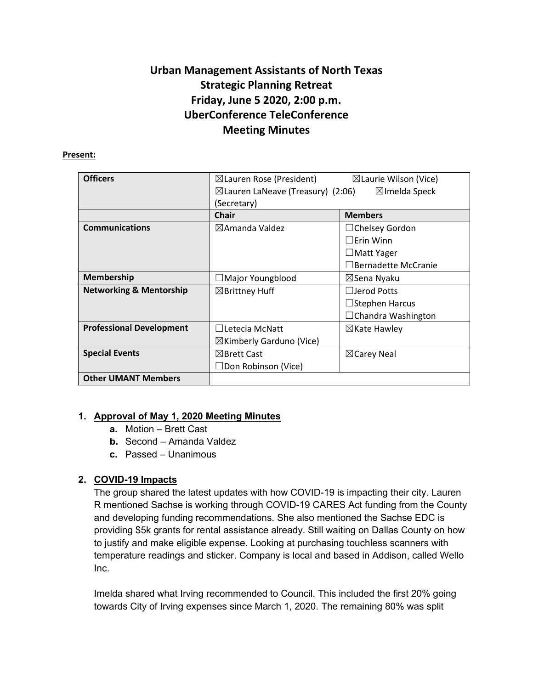# **Urban Management Assistants of North Texas Strategic Planning Retreat Friday, June 5 2020, 2:00 p.m. UberConference TeleConference Meeting Minutes**

#### **Present:**

| <b>Officers</b>                    | $\boxtimes$ Lauren Rose (President)          | $\boxtimes$ Laurie Wilson (Vice) |
|------------------------------------|----------------------------------------------|----------------------------------|
|                                    | $\boxtimes$ Lauren LaNeave (Treasury) (2:06) | $\boxtimes$ Imelda Speck         |
|                                    | (Secretary)                                  |                                  |
|                                    | <b>Chair</b>                                 | <b>Members</b>                   |
| <b>Communications</b>              | $\boxtimes$ Amanda Valdez                    | $\Box$ Chelsey Gordon            |
|                                    |                                              | $\Box$ Erin Winn                 |
|                                    |                                              | $\Box$ Matt Yager                |
|                                    |                                              | $\Box$ Bernadette McCranie       |
| <b>Membership</b>                  | Major Youngblood                             | ⊠Sena Nyaku                      |
| <b>Networking &amp; Mentorship</b> | $\boxtimes$ Brittney Huff                    | $\Box$ Jerod Potts               |
|                                    |                                              | $\Box$ Stephen Harcus            |
|                                    |                                              | $\Box$ Chandra Washington        |
| <b>Professional Development</b>    | $\Box$ Letecia McNatt                        | $\boxtimes$ Kate Hawley          |
|                                    | $\boxtimes$ Kimberly Garduno (Vice)          |                                  |
| <b>Special Events</b>              | $\boxtimes$ Brett Cast                       | $\boxtimes$ Carey Neal           |
|                                    | $\Box$ Don Robinson (Vice)                   |                                  |
| <b>Other UMANT Members</b>         |                                              |                                  |

### **1. Approval of May 1, 2020 Meeting Minutes**

- **a.** Motion Brett Cast
- **b.** Second Amanda Valdez
- **c.** Passed Unanimous

## **2. COVID-19 Impacts**

The group shared the latest updates with how COVID-19 is impacting their city. Lauren R mentioned Sachse is working through COVID-19 CARES Act funding from the County and developing funding recommendations. She also mentioned the Sachse EDC is providing \$5k grants for rental assistance already. Still waiting on Dallas County on how to justify and make eligible expense. Looking at purchasing touchless scanners with temperature readings and sticker. Company is local and based in Addison, called Wello Inc.

Imelda shared what Irving recommended to Council. This included the first 20% going towards City of Irving expenses since March 1, 2020. The remaining 80% was split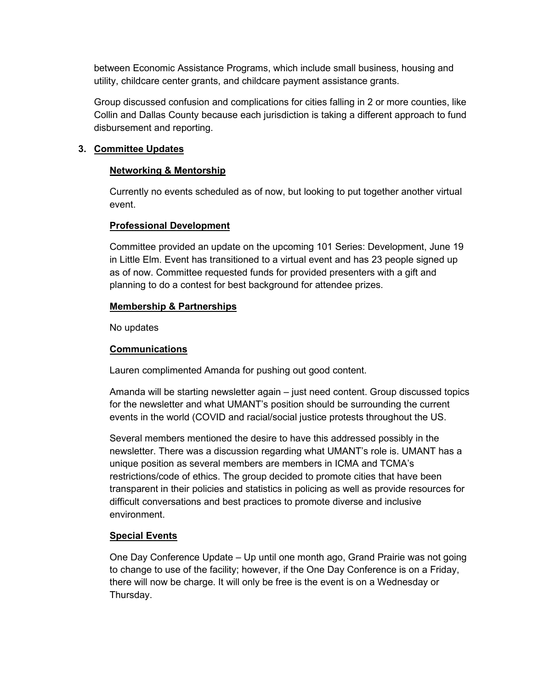between Economic Assistance Programs, which include small business, housing and utility, childcare center grants, and childcare payment assistance grants.

Group discussed confusion and complications for cities falling in 2 or more counties, like Collin and Dallas County because each jurisdiction is taking a different approach to fund disbursement and reporting.

#### **3. Committee Updates**

#### **Networking & Mentorship**

Currently no events scheduled as of now, but looking to put together another virtual event.

#### **Professional Development**

Committee provided an update on the upcoming 101 Series: Development, June 19 in Little Elm. Event has transitioned to a virtual event and has 23 people signed up as of now. Committee requested funds for provided presenters with a gift and planning to do a contest for best background for attendee prizes.

#### **Membership & Partnerships**

No updates

#### **Communications**

Lauren complimented Amanda for pushing out good content.

Amanda will be starting newsletter again – just need content. Group discussed topics for the newsletter and what UMANT's position should be surrounding the current events in the world (COVID and racial/social justice protests throughout the US.

Several members mentioned the desire to have this addressed possibly in the newsletter. There was a discussion regarding what UMANT's role is. UMANT has a unique position as several members are members in ICMA and TCMA's restrictions/code of ethics. The group decided to promote cities that have been transparent in their policies and statistics in policing as well as provide resources for difficult conversations and best practices to promote diverse and inclusive environment.

### **Special Events**

One Day Conference Update – Up until one month ago, Grand Prairie was not going to change to use of the facility; however, if the One Day Conference is on a Friday, there will now be charge. It will only be free is the event is on a Wednesday or Thursday.